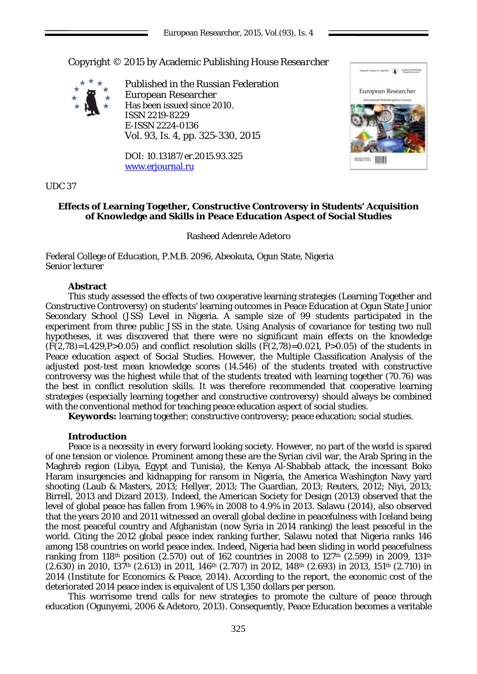Copyright © 2015 by Academic Publishing House *Researcher*



Published in the Russian Federation European Researcher Has been issued since 2010. ISSN 2219-8229 E-ISSN 2224-0136 Vol. 93, Is. 4, pp. 325-330, 2015

DOI: 10.13187/er.2015.93.325 [www.erjournal.ru](http://www.erjournal.ru/)



## UDC 37

# **Effects of Learning Together, Constructive Controversy in Students' Acquisition of Knowledge and Skills in Peace Education Aspect of Social Studies**

Rasheed Adenrele Adetoro

Federal College of Education, P.M.B. 2096, Abeokuta, Ogun State, Nigeria Senior lecturer

### **Abstract**

This study assessed the effects of two cooperative learning strategies (Learning Together and Constructive Controversy) on students' learning outcomes in Peace Education at Ogun State Junior Secondary School (JSS) Level in Nigeria. A sample size of 99 students participated in the experiment from three public JSS in the state. Using Analysis of covariance for testing two null hypotheses, it was discovered that there were no significant main effects on the knowledge  $(F(2,78)=1.429, P>0.05)$  and conflict resolution skills  $(F(2,78)=0.021, P>0.05)$  of the students in Peace education aspect of Social Studies. However, the Multiple Classification Analysis of the adjusted post-test mean knowledge scores (14.546) of the students treated with constructive controversy was the highest while that of the students treated with learning together (70.76) was the best in conflict resolution skills. It was therefore recommended that cooperative learning strategies (especially learning together and constructive controversy) should always be combined with the conventional method for teaching peace education aspect of social studies.

**Keywords:** learning together; constructive controversy; peace education; social studies.

## **Introduction**

Peace is a necessity in every forward looking society. However, no part of the world is spared of one tension or violence. Prominent among these are the Syrian civil war, the Arab Spring in the Maghreb region (Libya, Egypt and Tunisia), the Kenya Al-Shabbab attack, the incessant Boko Haram insurgencies and kidnapping for ransom in Nigeria, the America Washington Navy yard shooting (Laub & Masters, 2013; Hellyer, 2013; The Guardian, 2013; Reuters, 2012; Niyi, 2013; Birrell, 2013 and Dizard 2013). Indeed, the American Society for Design (2013) observed that the level of global peace has fallen from 1.96% in 2008 to 4.9% in 2013. Salawu (2014), also observed that the years 2010 and 2011 witnessed an overall global decline in peacefulness with Iceland being the most peaceful country and Afghanistan (now Syria in 2014 ranking) the least peaceful in the world. Citing the 2012 global peace index ranking further, Salawu noted that Nigeria ranks 146 among 158 countries on world peace index. Indeed, Nigeria had been sliding in world peacefulness ranking from 118<sup>th</sup> position (2.570) out of 162 countries in 2008 to 127<sup>th</sup> (2.599) in 2009, 131<sup>th</sup>  $(2.630)$  in 2010, 137<sup>th</sup> (2.613) in 2011, 146<sup>th</sup> (2.707) in 2012, 148<sup>th</sup> (2.693) in 2013, 151<sup>th</sup> (2.710) in 2014 (Institute for Economics & Peace, 2014). According to the report, the economic cost of the deteriorated 2014 peace index is equivalent of US 1,350 dollars per person.

This worrisome trend calls for new strategies to promote the culture of peace through education (Ogunyemi, 2006 & Adetoro, 2013). Consequently, Peace Education becomes a veritable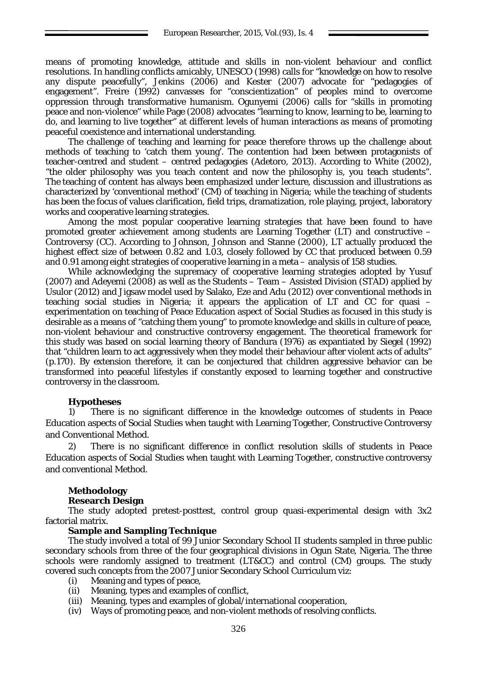means of promoting knowledge, attitude and skills in non-violent behaviour and conflict resolutions. In handling conflicts amicably, UNESCO (1998) calls for "knowledge on how to resolve any dispute peacefully", Jenkins (2006) and Kester (2007) advocate for "pedagogies of engagement". Freire (1992) canvasses for "conscientization" of peoples mind to overcome oppression through transformative humanism. Ogunyemi (2006) calls for "skills in promoting peace and non-violence" while Page (2008) advocates "learning to know, learning to be, learning to do, and learning to live together" at different levels of human interactions as means of promoting peaceful coexistence and international understanding.

The challenge of teaching and learning for peace therefore throws up the challenge about methods of teaching to 'catch them young'. The contention had been between protagonists of teacher-centred and student – centred pedagogies (Adetoro, 2013). According to White (2002), "the older philosophy was you teach content and now the philosophy is, you teach students". The teaching of content has always been emphasized under lecture, discussion and illustrations as characterized by 'conventional method' (CM) of teaching in Nigeria; while the teaching of students has been the focus of values clarification, field trips, dramatization, role playing, project, laboratory works and cooperative learning strategies.

Among the most popular cooperative learning strategies that have been found to have promoted greater achievement among students are Learning Together (LT) and constructive – Controversy (CC). According to Johnson, Johnson and Stanne (2000), LT actually produced the highest effect size of between 0.82 and 1.03, closely followed by CC that produced between 0.59 and 0.91 among eight strategies of cooperative learning in a meta – analysis of 158 studies.

While acknowledging the supremacy of cooperative learning strategies adopted by Yusuf (2007) and Adeyemi (2008) as well as the Students – Team – Assisted Division (STAD) applied by Usulor (2012) and Jigsaw model used by Salako, Eze and Adu (2012) over conventional methods in teaching social studies in Nigeria; it appears the application of LT and CC for quasi – experimentation on teaching of Peace Education aspect of Social Studies as focused in this study is desirable as a means of "catching them young" to promote knowledge and skills in culture of peace, non-violent behaviour and constructive controversy engagement. The theoretical framework for this study was based on social learning theory of Bandura (1976) as expantiated by Siegel (1992) that "children learn to act aggressively when they model their behaviour after violent acts of adults" (p.170). By extension therefore, it can be conjectured that children aggressive behavior can be transformed into peaceful lifestyles if constantly exposed to learning together and constructive controversy in the classroom.

### **Hypotheses**

1) There is no significant difference in the knowledge outcomes of students in Peace Education aspects of Social Studies when taught with Learning Together, Constructive Controversy and Conventional Method.

2) There is no significant difference in conflict resolution skills of students in Peace Education aspects of Social Studies when taught with Learning Together, constructive controversy and conventional Method.

### **Methodology**

### **Research Design**

The study adopted pretest-posttest, control group quasi-experimental design with 3x2 factorial matrix.

#### **Sample and Sampling Technique**

The study involved a total of 99 Junior Secondary School II students sampled in three public secondary schools from three of the four geographical divisions in Ogun State, Nigeria. The three schools were randomly assigned to treatment (LT&CC) and control (CM) groups. The study covered such concepts from the 2007 Junior Secondary School Curriculum viz:

- (i) Meaning and types of peace,
- (ii) Meaning, types and examples of conflict,
- (iii) Meaning, types and examples of global/international cooperation,
- (iv) Ways of promoting peace, and non-violent methods of resolving conflicts.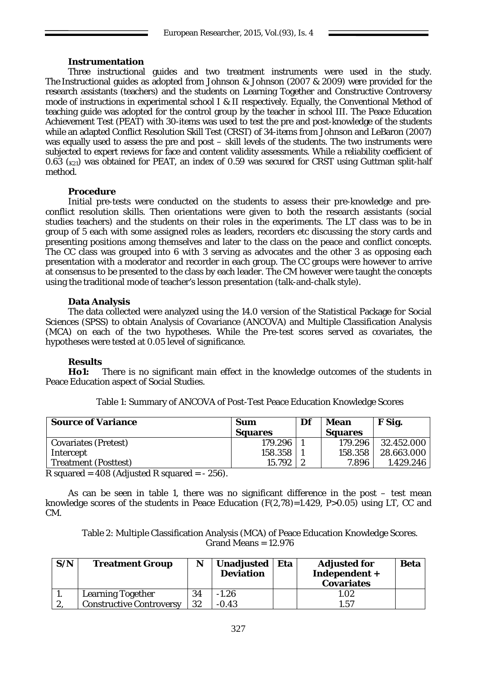### **Instrumentation**

Three instructional guides and two treatment instruments were used in the study. The Instructional guides as adopted from Johnson & Johnson (2007 & 2009) were provided for the research assistants (teachers) and the students on Learning Together and Constructive Controversy mode of instructions in experimental school I & II respectively. Equally, the Conventional Method of teaching guide was adopted for the control group by the teacher in school III. The Peace Education Achievement Test (PEAT) with 30-items was used to test the pre and post-knowledge of the students while an adapted Conflict Resolution Skill Test (CRST) of 34-items from Johnson and LeBaron (2007) was equally used to assess the pre and post – skill levels of the students. The two instruments were subjected to expert reviews for face and content validity assessments. While a reliability coefficient of 0.63  $(k_{21})$  was obtained for PEAT, an index of 0.59 was secured for CRST using Guttman split-half method.

#### **Procedure**

Initial pre-tests were conducted on the students to assess their pre-knowledge and preconflict resolution skills. Then orientations were given to both the research assistants (social studies teachers) and the students on their roles in the experiments. The LT class was to be in group of 5 each with some assigned roles as leaders, recorders etc discussing the story cards and presenting positions among themselves and later to the class on the peace and conflict concepts. The CC class was grouped into 6 with 3 serving as advocates and the other 3 as opposing each presentation with a moderator and recorder in each group. The CC groups were however to arrive at consensus to be presented to the class by each leader. The CM however were taught the concepts using the traditional mode of teacher's lesson presentation (talk-and-chalk style).

#### **Data Analysis**

The data collected were analyzed using the 14.0 version of the Statistical Package for Social Sciences (SPSS) to obtain Analysis of Covariance (ANCOVA) and Multiple Classification Analysis (MCA) on each of the two hypotheses. While the Pre-test scores served as covariates, the hypotheses were tested at 0.05 level of significance.

### **Results**

**Ho1:** There is no significant main effect in the knowledge outcomes of the students in Peace Education aspect of Social Studies.

| <b>Source of Variance</b>   | Sum<br><b>Squares</b> | Df<br><b>Mean</b><br><b>Squares</b> |         | F Sig.     |  |
|-----------------------------|-----------------------|-------------------------------------|---------|------------|--|
| <b>Covariates (Pretest)</b> | 179.296               |                                     | 179.296 | 32.452.000 |  |
| Intercept                   | 158.358               |                                     | 158.358 | 28.663.000 |  |
| <b>Treatment (Posttest)</b> | 15.792                |                                     | 7.896   | 1.429.246  |  |

Table 1: Summary of ANCOVA of Post-Test Peace Education Knowledge Scores

R squared =  $408$  (Adjusted R squared =  $-256$ ).

As can be seen in table 1, there was no significant difference in the post – test mean knowledge scores of the students in Peace Education  $(F(2,78)=1.429, P>0.05)$  using LT, CC and CM.

Table 2: Multiple Classification Analysis (MCA) of Peace Education Knowledge Scores. Grand Means = 12.976

| S/N | <b>Treatment Group</b>          | N  | Unadjusted   Eta<br><b>Deviation</b> | <b>Adjusted for</b><br>Independent +<br><b>Covariates</b> | <b>Beta</b> |
|-----|---------------------------------|----|--------------------------------------|-----------------------------------------------------------|-------------|
|     | <b>Learning Together</b>        | 34 | $-1.26$                              | 1.02                                                      |             |
| ω.  | <b>Constructive Controversy</b> | 32 | $-0.43$                              | 157                                                       |             |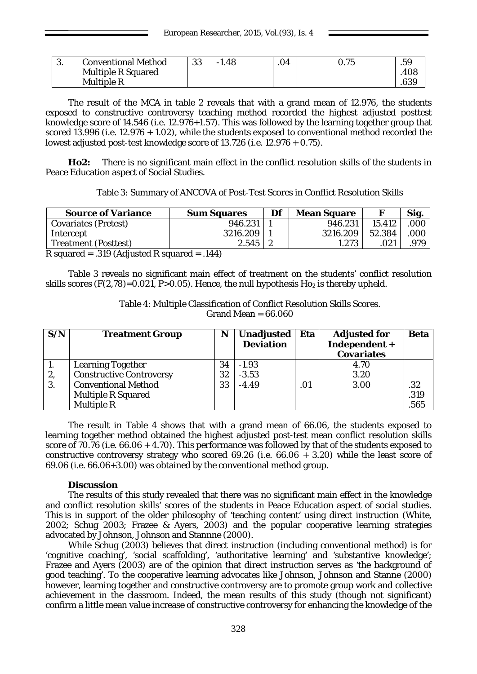| J. | <b>Conventional Method</b> | ററ<br>ບປ | .48<br>- 1 | .04 | 75 | .59  |
|----|----------------------------|----------|------------|-----|----|------|
|    | <b>Multiple R Squared</b>  |          |            |     |    | .408 |
|    | <b>Multiple R</b>          |          |            |     |    |      |

The result of the MCA in table 2 reveals that with a grand mean of 12.976, the students exposed to constructive controversy teaching method recorded the highest adjusted posttest knowledge score of 14.546 (i.e. 12.976+1.57). This was followed by the learning together group that scored 13.996 (i.e. 12.976 + 1.02), while the students exposed to conventional method recorded the lowest adjusted post-test knowledge score of 13.726 (i.e. 12.976 + 0.75).

**Ho2:** There is no significant main effect in the conflict resolution skills of the students in Peace Education aspect of Social Studies.

Table 3: Summary of ANCOVA of Post-Test Scores in Conflict Resolution Skills

| <b>Sum Squares</b> | Df | <b>Mean Square</b> |        | Sig. |
|--------------------|----|--------------------|--------|------|
| 946.231            |    | 946.231            | 15.412 | 000  |
| 3216.209           |    | 3216.209           | 52.384 | 000  |
| 2.545              |    | 273                | 021    | 979. |
|                    |    |                    |        |      |

R squared = .319 (Adjusted R squared = .144)

Table 3 reveals no significant main effect of treatment on the students' conflict resolution skills scores ( $F(2,78)=0.021$ , P $>0.05$ ). Hence, the null hypothesis Ho<sub>2</sub> is thereby upheld.

> Table 4: Multiple Classification of Conflict Resolution Skills Scores. Grand Mean  $= 66.060$

| S/N | <b>Treatment Group</b>          | N  | <b>Unadjusted</b><br><b>Deviation</b> | Eta | <b>Adjusted for</b><br>Independent +<br><b>Covariates</b> | <b>Beta</b> |
|-----|---------------------------------|----|---------------------------------------|-----|-----------------------------------------------------------|-------------|
|     | <b>Learning Together</b>        | 34 | $-1.93$                               |     | 4.70                                                      |             |
| 2,  | <b>Constructive Controversy</b> | 32 | $-3.53$                               |     | 3.20                                                      |             |
| 3.  | <b>Conventional Method</b>      | 33 | $-4.49$                               | .01 | 3.00                                                      | .32         |
|     | <b>Multiple R Squared</b>       |    |                                       |     |                                                           | .319        |
|     | <b>Multiple R</b>               |    |                                       |     |                                                           | .565        |

The result in Table 4 shows that with a grand mean of 66.06, the students exposed to learning together method obtained the highest adjusted post-test mean conflict resolution skills score of 70.76 (i.e. 66.06 + 4.70). This performance was followed by that of the students exposed to constructive controversy strategy who scored 69.26 (i.e.  $66.06 + 3.20$ ) while the least score of 69.06 (i.e. 66.06+3.00) was obtained by the conventional method group.

## **Discussion**

The results of this study revealed that there was no significant main effect in the knowledge and conflict resolution skills' scores of the students in Peace Education aspect of social studies. This is in support of the older philosophy of 'teaching content' using direct instruction (White, 2002; Schug 2003; Frazee & Ayers, 2003) and the popular cooperative learning strategies advocated by Johnson, Johnson and Stannne (2000).

While Schug (2003) believes that direct instruction (including conventional method) is for 'cognitive coaching', 'social scaffolding', 'authoritative learning' and 'substantive knowledge'; Frazee and Ayers (2003) are of the opinion that direct instruction serves as 'the background of good teaching'. To the cooperative learning advocates like Johnson, Johnson and Stanne (2000) however, learning together and constructive controversy are to promote group work and collective achievement in the classroom. Indeed, the mean results of this study (though not significant) confirm a little mean value increase of constructive controversy for enhancing the knowledge of the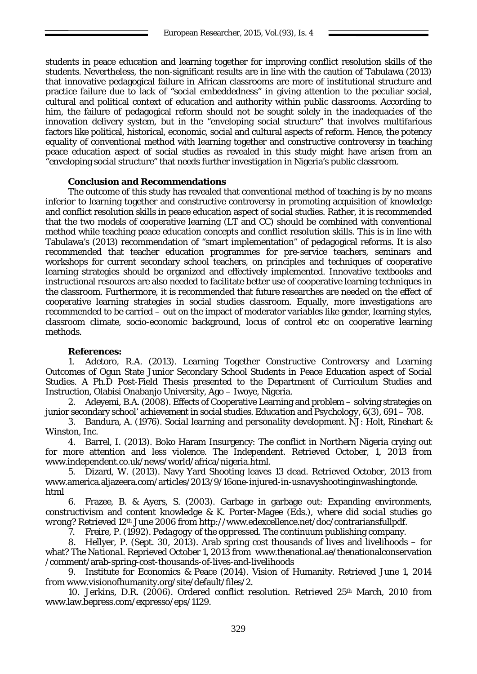students in peace education and learning together for improving conflict resolution skills of the students. Nevertheless, the non-significant results are in line with the caution of Tabulawa (2013) that innovative pedagogical failure in African classrooms are more of institutional structure and practice failure due to lack of "social embeddedness" in giving attention to the peculiar social, cultural and political context of education and authority within public classrooms. According to him, the failure of pedagogical reform should not be sought solely in the inadequacies of the innovation delivery system, but in the "enveloping social structure" that involves multifarious factors like political, historical, economic, social and cultural aspects of reform. Hence, the potency equality of conventional method with learning together and constructive controversy in teaching peace education aspect of social studies as revealed in this study might have arisen from an "enveloping social structure" that needs further investigation in Nigeria's public classroom.

## **Conclusion and Recommendations**

The outcome of this study has revealed that conventional method of teaching is by no means inferior to learning together and constructive controversy in promoting acquisition of knowledge and conflict resolution skills in peace education aspect of social studies. Rather, it is recommended that the two models of cooperative learning (LT and CC) should be combined with conventional method while teaching peace education concepts and conflict resolution skills. This is in line with Tabulawa's (2013) recommendation of "smart implementation" of pedagogical reforms. It is also recommended that teacher education programmes for pre-service teachers, seminars and workshops for current secondary school teachers, on principles and techniques of cooperative learning strategies should be organized and effectively implemented. Innovative textbooks and instructional resources are also needed to facilitate better use of cooperative learning techniques in the classroom. Furthermore, it is recommended that future researches are needed on the effect of cooperative learning strategies in social studies classroom. Equally, more investigations are recommended to be carried – out on the impact of moderator variables like gender, learning styles, classroom climate, socio-economic background, locus of control etc on cooperative learning methods.

## **References:**

1. Adetoro, R.A. (2013). Learning Together Constructive Controversy and Learning Outcomes of Ogun State Junior Secondary School Students in Peace Education aspect of Social Studies. A Ph.D Post-Field Thesis presented to the Department of Curriculum Studies and Instruction, Olabisi Onabanjo University, Ago – Iwoye, Nigeria.

2. Adeyemi, B.A. (2008). Effects of Cooperative Learning and problem – solving strategies on junior secondary school' achievement in social studies. *Education and Psychology*, 6(3), 691 – 708.

3. Bandura, A. (1976). *Social learning and personality development*. NJ: Holt, Rinehart & Winston, Inc.

4. Barrel, I. (2013). Boko Haram Insurgency: The conflict in Northern Nigeria crying out for more attention and less violence. *The Independent*. Retrieved October, 1, 2013 from [www.independent.co.uk/news/world/africa/nigeria.html.](http://www.independent.co.uk/news/world/africa/nigeria.html)

5. Dizard, W. (2013). Navy Yard Shooting leaves 13 dead. Retrieved October, 2013 from www.america.aljazeera.com/articles/2013/9/16one-injured-in-usnavyshootinginwashingtonde. html

6. Frazee, B. & Ayers, S. (2003). Garbage in garbage out: Expanding environments, constructivism and content knowledge & K. Porter-Magee (Eds.), *where did social studies go wrong*? Retrieved 12<sup>th</sup> June 2006 from [http://www.edexcellence.net/doc/contrariansfullpdf.](http://www.edexcellence.net/doc/contrariansfullpdf)

7. Freire, P. (1992). *Pedagogy of the oppressed*. The continuum publishing company.

8. Hellyer, P. (Sept. 30, 2013). Arab spring cost thousands of lives and livelihoods – for what? *The National*. Reprieved October 1, 2013 from www.thenational.ae/thenationalconservation /comment/arab-spring-cost-thousands-of-lives-and-livelihoods

9. Institute for Economics & Peace (2014). Vision of Humanity. Retrieved June 1, 2014 from [www.visionofhumanity.org/site/default/files/2.](http://www.visionofhumanity.org/site/default/files/2)

10. Jerkins, D.R. (2006). Ordered conflict resolution. Retrieved 25th March, 2010 from [www.law.bepress.com/expresso/eps/1129.](http://www.law.bepress.com/expresso/eps/1129)